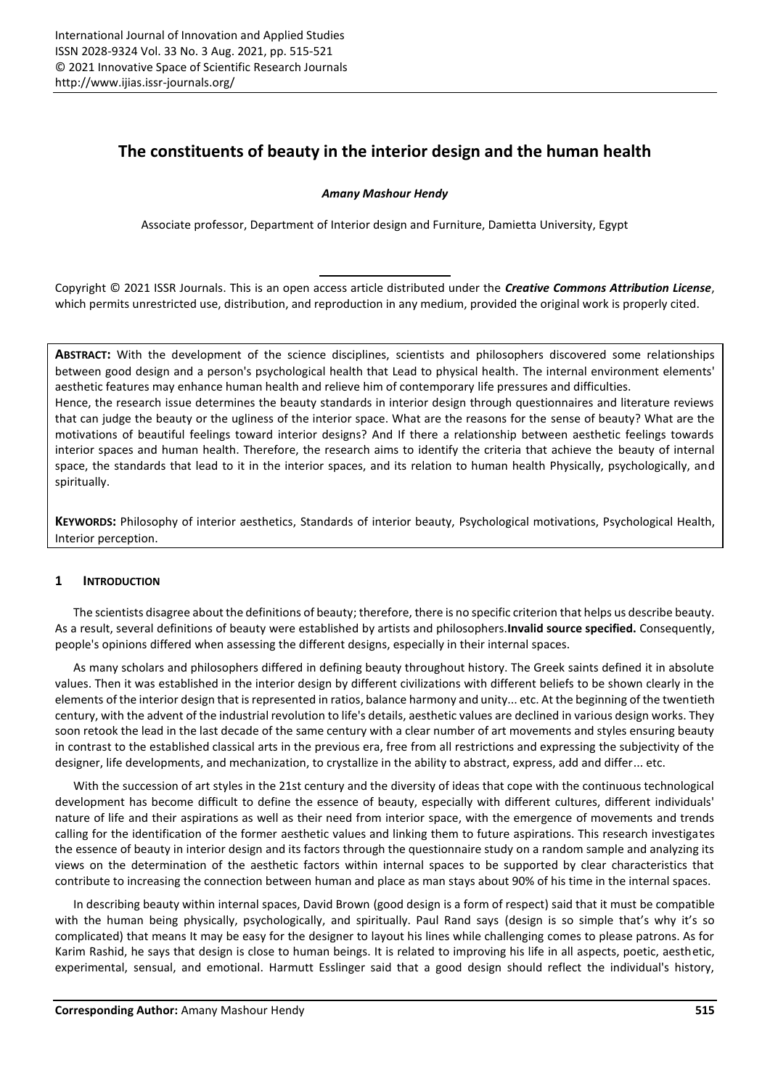# **The constituents of beauty in the interior design and the human health**

# *Amany Mashour Hendy*

Associate professor, Department of Interior design and Furniture, Damietta University, Egypt

Copyright © 2021 ISSR Journals. This is an open access article distributed under the *Creative Commons Attribution License*, which permits unrestricted use, distribution, and reproduction in any medium, provided the original work is properly cited.

**ABSTRACT:** With the development of the science disciplines, scientists and philosophers discovered some relationships between good design and a person's psychological health that Lead to physical health. The internal environment elements' aesthetic features may enhance human health and relieve him of contemporary life pressures and difficulties. Hence, the research issue determines the beauty standards in interior design through questionnaires and literature reviews that can judge the beauty or the ugliness of the interior space. What are the reasons for the sense of beauty? What are the motivations of beautiful feelings toward interior designs? And If there a relationship between aesthetic feelings towards interior spaces and human health. Therefore, the research aims to identify the criteria that achieve the beauty of internal space, the standards that lead to it in the interior spaces, and its relation to human health Physically, psychologically, and spiritually.

**KEYWORDS:** Philosophy of interior aesthetics, Standards of interior beauty, Psychological motivations, Psychological Health, Interior perception.

# **1 INTRODUCTION**

The scientists disagree about the definitions of beauty; therefore, there is no specific criterion that helps us describe beauty. As a result, several definitions of beauty were established by artists and philosophers.**Invalid source specified.** Consequently, people's opinions differed when assessing the different designs, especially in their internal spaces.

As many scholars and philosophers differed in defining beauty throughout history. The Greek saints defined it in absolute values. Then it was established in the interior design by different civilizations with different beliefs to be shown clearly in the elements of the interior design that is represented in ratios, balance harmony and unity... etc. At the beginning of the twentieth century, with the advent of the industrial revolution to life's details, aesthetic values are declined in various design works. They soon retook the lead in the last decade of the same century with a clear number of art movements and styles ensuring beauty in contrast to the established classical arts in the previous era, free from all restrictions and expressing the subjectivity of the designer, life developments, and mechanization, to crystallize in the ability to abstract, express, add and differ... etc.

With the succession of art styles in the 21st century and the diversity of ideas that cope with the continuous technological development has become difficult to define the essence of beauty, especially with different cultures, different individuals' nature of life and their aspirations as well as their need from interior space, with the emergence of movements and trends calling for the identification of the former aesthetic values and linking them to future aspirations. This research investigates the essence of beauty in interior design and its factors through the questionnaire study on a random sample and analyzing its views on the determination of the aesthetic factors within internal spaces to be supported by clear characteristics that contribute to increasing the connection between human and place as man stays about 90% of his time in the internal spaces.

In describing beauty within internal spaces, David Brown (good design is a form of respect) said that it must be compatible with the human being physically, psychologically, and spiritually. Paul Rand says (design is so simple that's why it's so complicated) that means It may be easy for the designer to layout his lines while challenging comes to please patrons. As for Karim Rashid, he says that design is close to human beings. It is related to improving his life in all aspects, poetic, aesthetic, experimental, sensual, and emotional. Harmutt Esslinger said that a good design should reflect the individual's history,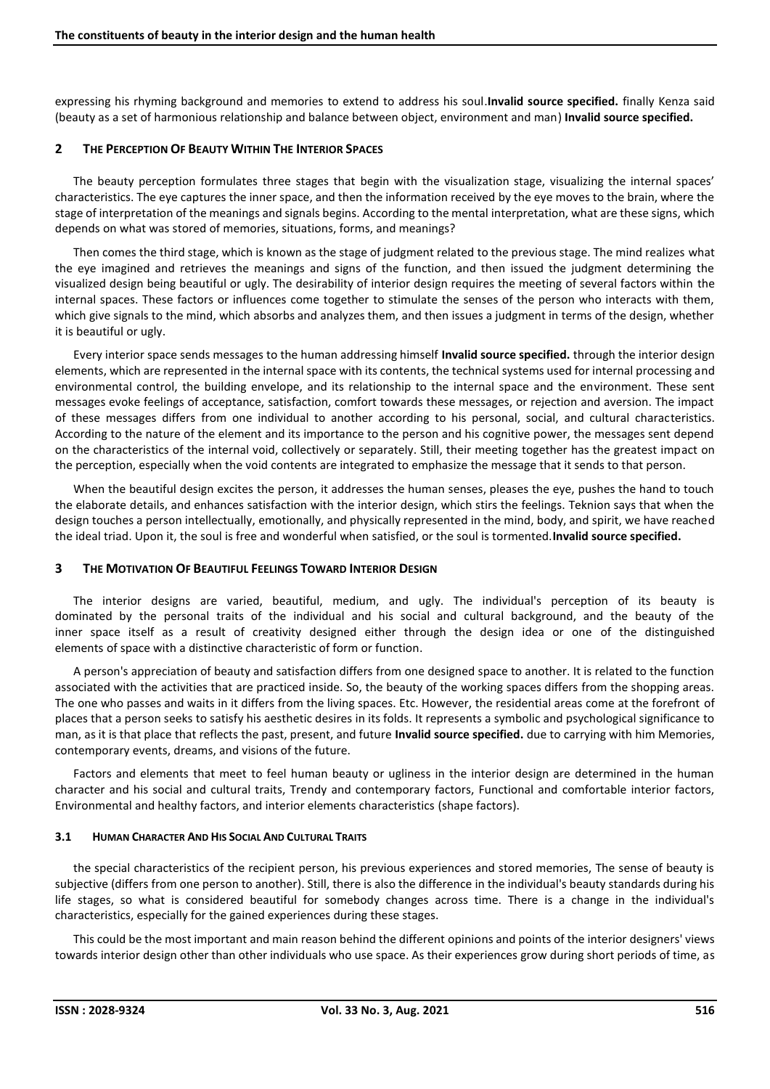expressing his rhyming background and memories to extend to address his soul.**Invalid source specified.** finally Kenza said (beauty as a set of harmonious relationship and balance between object, environment and man) **Invalid source specified.**

# **2 THE PERCEPTION OF BEAUTY WITHIN THE INTERIOR SPACES**

The beauty perception formulates three stages that begin with the visualization stage, visualizing the internal spaces' characteristics. The eye captures the inner space, and then the information received by the eye moves to the brain, where the stage of interpretation of the meanings and signals begins. According to the mental interpretation, what are these signs, which depends on what was stored of memories, situations, forms, and meanings?

Then comes the third stage, which is known as the stage of judgment related to the previous stage. The mind realizes what the eye imagined and retrieves the meanings and signs of the function, and then issued the judgment determining the visualized design being beautiful or ugly. The desirability of interior design requires the meeting of several factors within the internal spaces. These factors or influences come together to stimulate the senses of the person who interacts with them, which give signals to the mind, which absorbs and analyzes them, and then issues a judgment in terms of the design, whether it is beautiful or ugly.

Every interior space sends messages to the human addressing himself **Invalid source specified.** through the interior design elements, which are represented in the internal space with its contents, the technical systems used for internal processing and environmental control, the building envelope, and its relationship to the internal space and the environment. These sent messages evoke feelings of acceptance, satisfaction, comfort towards these messages, or rejection and aversion. The impact of these messages differs from one individual to another according to his personal, social, and cultural characteristics. According to the nature of the element and its importance to the person and his cognitive power, the messages sent depend on the characteristics of the internal void, collectively or separately. Still, their meeting together has the greatest impact on the perception, especially when the void contents are integrated to emphasize the message that it sends to that person.

When the beautiful design excites the person, it addresses the human senses, pleases the eye, pushes the hand to touch the elaborate details, and enhances satisfaction with the interior design, which stirs the feelings. Teknion says that when the design touches a person intellectually, emotionally, and physically represented in the mind, body, and spirit, we have reached the ideal triad. Upon it, the soul is free and wonderful when satisfied, or the soul is tormented.**Invalid source specified.**

## **3 THE MOTIVATION OF BEAUTIFUL FEELINGS TOWARD INTERIOR DESIGN**

The interior designs are varied, beautiful, medium, and ugly. The individual's perception of its beauty is dominated by the personal traits of the individual and his social and cultural background, and the beauty of the inner space itself as a result of creativity designed either through the design idea or one of the distinguished elements of space with a distinctive characteristic of form or function.

A person's appreciation of beauty and satisfaction differs from one designed space to another. It is related to the function associated with the activities that are practiced inside. So, the beauty of the working spaces differs from the shopping areas. The one who passes and waits in it differs from the living spaces. Etc. However, the residential areas come at the forefront of places that a person seeks to satisfy his aesthetic desires in its folds. It represents a symbolic and psychological significance to man, as it is that place that reflects the past, present, and future **Invalid source specified.** due to carrying with him Memories, contemporary events, dreams, and visions of the future.

Factors and elements that meet to feel human beauty or ugliness in the interior design are determined in the human character and his social and cultural traits, Trendy and contemporary factors, Functional and comfortable interior factors, Environmental and healthy factors, and interior elements characteristics (shape factors).

## **3.1 HUMAN CHARACTER AND HIS SOCIAL AND CULTURAL TRAITS**

the special characteristics of the recipient person, his previous experiences and stored memories, The sense of beauty is subjective (differs from one person to another). Still, there is also the difference in the individual's beauty standards during his life stages, so what is considered beautiful for somebody changes across time. There is a change in the individual's characteristics, especially for the gained experiences during these stages.

This could be the most important and main reason behind the different opinions and points of the interior designers' views towards interior design other than other individuals who use space. As their experiences grow during short periods of time, as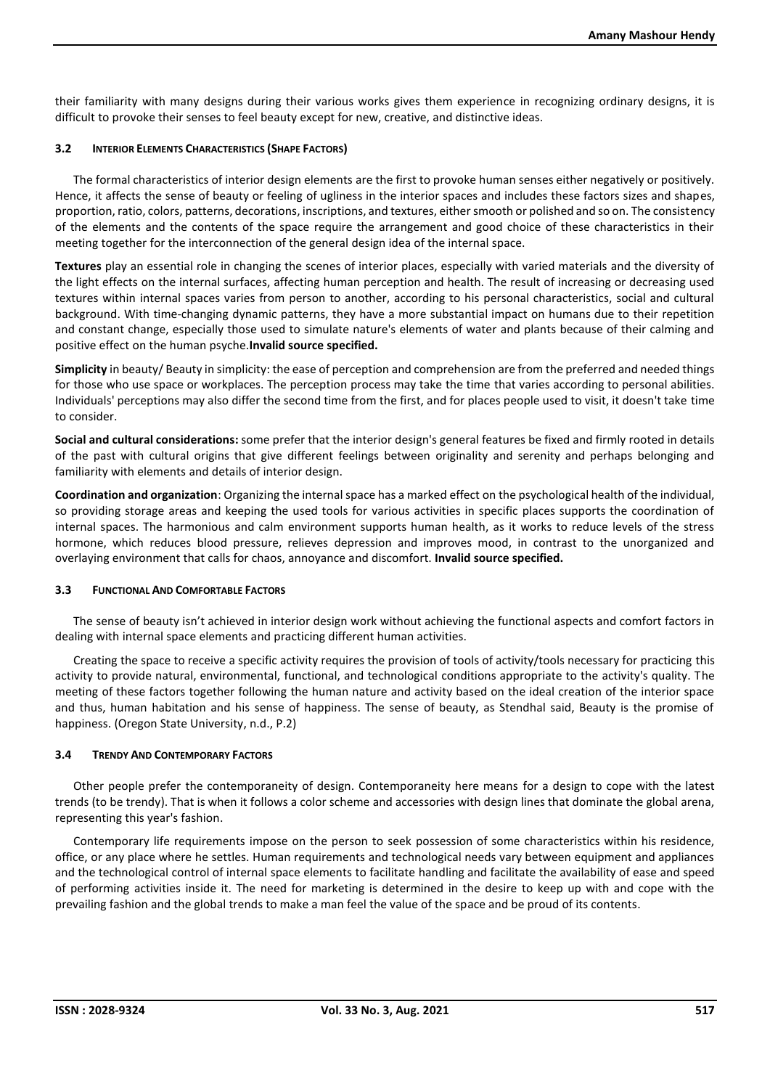their familiarity with many designs during their various works gives them experience in recognizing ordinary designs, it is difficult to provoke their senses to feel beauty except for new, creative, and distinctive ideas.

#### **3.2 INTERIOR ELEMENTS CHARACTERISTICS (SHAPE FACTORS)**

The formal characteristics of interior design elements are the first to provoke human senses either negatively or positively. Hence, it affects the sense of beauty or feeling of ugliness in the interior spaces and includes these factors sizes and shapes, proportion, ratio, colors, patterns, decorations, inscriptions, and textures, either smooth or polished and so on. The consistency of the elements and the contents of the space require the arrangement and good choice of these characteristics in their meeting together for the interconnection of the general design idea of the internal space.

**Textures** play an essential role in changing the scenes of interior places, especially with varied materials and the diversity of the light effects on the internal surfaces, affecting human perception and health. The result of increasing or decreasing used textures within internal spaces varies from person to another, according to his personal characteristics, social and cultural background. With time-changing dynamic patterns, they have a more substantial impact on humans due to their repetition and constant change, especially those used to simulate nature's elements of water and plants because of their calming and positive effect on the human psyche.**Invalid source specified.**

**Simplicity** in beauty/ Beauty in simplicity: the ease of perception and comprehension are from the preferred and needed things for those who use space or workplaces. The perception process may take the time that varies according to personal abilities. Individuals' perceptions may also differ the second time from the first, and for places people used to visit, it doesn't take time to consider.

**Social and cultural considerations:** some prefer that the interior design's general features be fixed and firmly rooted in details of the past with cultural origins that give different feelings between originality and serenity and perhaps belonging and familiarity with elements and details of interior design.

**Coordination and organization**: Organizing the internal space has a marked effect on the psychological health of the individual, so providing storage areas and keeping the used tools for various activities in specific places supports the coordination of internal spaces. The harmonious and calm environment supports human health, as it works to reduce levels of the stress hormone, which reduces blood pressure, relieves depression and improves mood, in contrast to the unorganized and overlaying environment that calls for chaos, annoyance and discomfort. **Invalid source specified.**

## **3.3 FUNCTIONAL AND COMFORTABLE FACTORS**

The sense of beauty isn't achieved in interior design work without achieving the functional aspects and comfort factors in dealing with internal space elements and practicing different human activities.

Creating the space to receive a specific activity requires the provision of tools of activity/tools necessary for practicing this activity to provide natural, environmental, functional, and technological conditions appropriate to the activity's quality. The meeting of these factors together following the human nature and activity based on the ideal creation of the interior space and thus, human habitation and his sense of happiness. The sense of beauty, as Stendhal said, Beauty is the promise of happiness. (Oregon State University, n.d., P.2)

## **3.4 TRENDY AND CONTEMPORARY FACTORS**

Other people prefer the contemporaneity of design. Contemporaneity here means for a design to cope with the latest trends (to be trendy). That is when it follows a color scheme and accessories with design lines that dominate the global arena, representing this year's fashion.

Contemporary life requirements impose on the person to seek possession of some characteristics within his residence, office, or any place where he settles. Human requirements and technological needs vary between equipment and appliances and the technological control of internal space elements to facilitate handling and facilitate the availability of ease and speed of performing activities inside it. The need for marketing is determined in the desire to keep up with and cope with the prevailing fashion and the global trends to make a man feel the value of the space and be proud of its contents.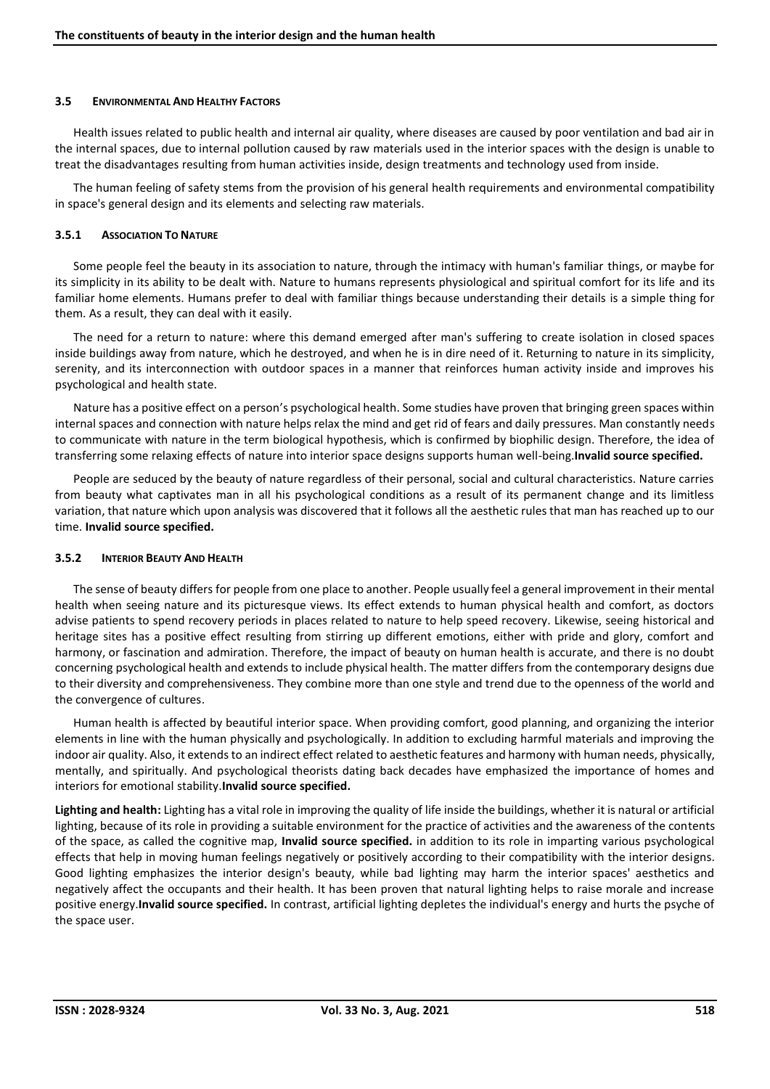#### **3.5 ENVIRONMENTAL AND HEALTHY FACTORS**

Health issues related to public health and internal air quality, where diseases are caused by poor ventilation and bad air in the internal spaces, due to internal pollution caused by raw materials used in the interior spaces with the design is unable to treat the disadvantages resulting from human activities inside, design treatments and technology used from inside.

The human feeling of safety stems from the provision of his general health requirements and environmental compatibility in space's general design and its elements and selecting raw materials.

#### **3.5.1 ASSOCIATION TO NATURE**

Some people feel the beauty in its association to nature, through the intimacy with human's familiar things, or maybe for its simplicity in its ability to be dealt with. Nature to humans represents physiological and spiritual comfort for its life and its familiar home elements. Humans prefer to deal with familiar things because understanding their details is a simple thing for them. As a result, they can deal with it easily.

The need for a return to nature: where this demand emerged after man's suffering to create isolation in closed spaces inside buildings away from nature, which he destroyed, and when he is in dire need of it. Returning to nature in its simplicity, serenity, and its interconnection with outdoor spaces in a manner that reinforces human activity inside and improves his psychological and health state.

Nature has a positive effect on a person's psychological health. Some studies have proven that bringing green spaces within internal spaces and connection with nature helps relax the mind and get rid of fears and daily pressures. Man constantly needs to communicate with nature in the term biological hypothesis, which is confirmed by biophilic design. Therefore, the idea of transferring some relaxing effects of nature into interior space designs supports human well-being.**Invalid source specified.**

People are seduced by the beauty of nature regardless of their personal, social and cultural characteristics. Nature carries from beauty what captivates man in all his psychological conditions as a result of its permanent change and its limitless variation, that nature which upon analysis was discovered that it follows all the aesthetic rules that man has reached up to our time. **Invalid source specified.**

## **3.5.2 INTERIOR BEAUTY AND HEALTH**

The sense of beauty differs for people from one place to another. People usually feel a general improvement in their mental health when seeing nature and its picturesque views. Its effect extends to human physical health and comfort, as doctors advise patients to spend recovery periods in places related to nature to help speed recovery. Likewise, seeing historical and heritage sites has a positive effect resulting from stirring up different emotions, either with pride and glory, comfort and harmony, or fascination and admiration. Therefore, the impact of beauty on human health is accurate, and there is no doubt concerning psychological health and extends to include physical health. The matter differs from the contemporary designs due to their diversity and comprehensiveness. They combine more than one style and trend due to the openness of the world and the convergence of cultures.

Human health is affected by beautiful interior space. When providing comfort, good planning, and organizing the interior elements in line with the human physically and psychologically. In addition to excluding harmful materials and improving the indoor air quality. Also, it extends to an indirect effect related to aesthetic features and harmony with human needs, physically, mentally, and spiritually. And psychological theorists dating back decades have emphasized the importance of homes and interiors for emotional stability.**Invalid source specified.**

**Lighting and health:** Lighting has a vital role in improving the quality of life inside the buildings, whether it is natural or artificial lighting, because of its role in providing a suitable environment for the practice of activities and the awareness of the contents of the space, as called the cognitive map, **Invalid source specified.** in addition to its role in imparting various psychological effects that help in moving human feelings negatively or positively according to their compatibility with the interior designs. Good lighting emphasizes the interior design's beauty, while bad lighting may harm the interior spaces' aesthetics and negatively affect the occupants and their health. It has been proven that natural lighting helps to raise morale and increase positive energy.**Invalid source specified.** In contrast, artificial lighting depletes the individual's energy and hurts the psyche of the space user.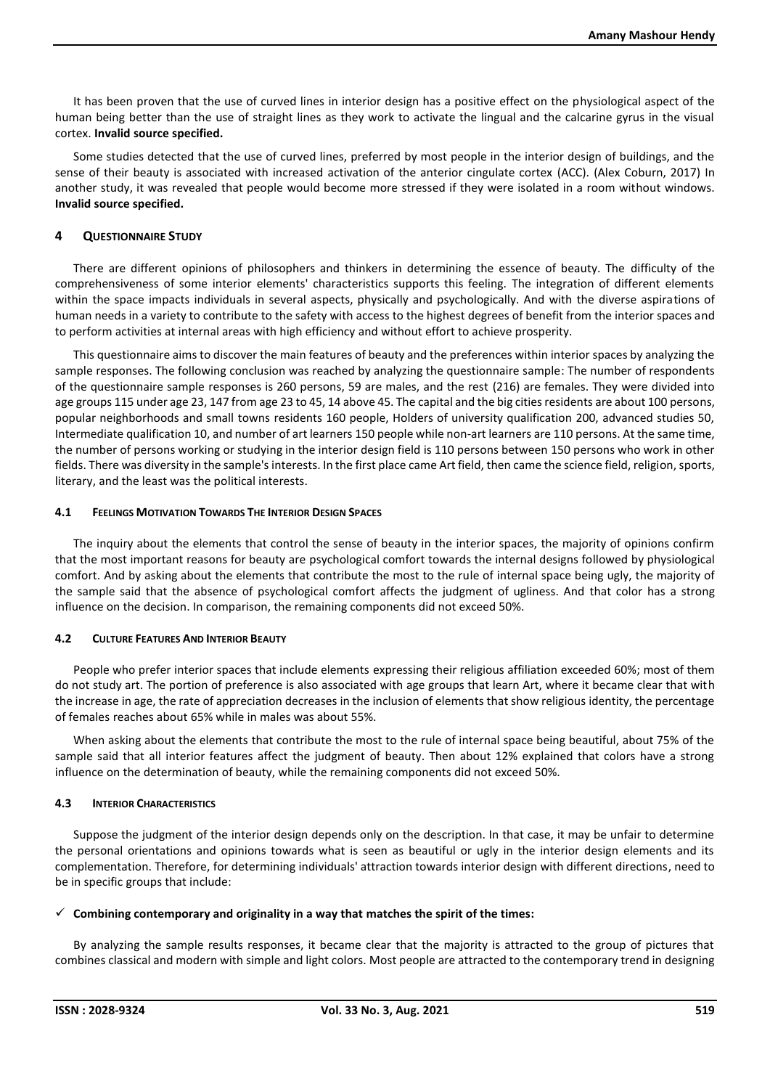It has been proven that the use of curved lines in interior design has a positive effect on the physiological aspect of the human being better than the use of straight lines as they work to activate the lingual and the calcarine gyrus in the visual cortex. **Invalid source specified.**

Some studies detected that the use of curved lines, preferred by most people in the interior design of buildings, and the sense of their beauty is associated with increased activation of the anterior cingulate cortex (ACC). (Alex Coburn, 2017) In another study, it was revealed that people would become more stressed if they were isolated in a room without windows. **Invalid source specified.**

# **4 QUESTIONNAIRE STUDY**

There are different opinions of philosophers and thinkers in determining the essence of beauty. The difficulty of the comprehensiveness of some interior elements' characteristics supports this feeling. The integration of different elements within the space impacts individuals in several aspects, physically and psychologically. And with the diverse aspirations of human needs in a variety to contribute to the safety with access to the highest degrees of benefit from the interior spaces and to perform activities at internal areas with high efficiency and without effort to achieve prosperity.

This questionnaire aims to discover the main features of beauty and the preferences within interior spaces by analyzing the sample responses. The following conclusion was reached by analyzing the questionnaire sample: The number of respondents of the questionnaire sample responses is 260 persons, 59 are males, and the rest (216) are females. They were divided into age groups 115 under age 23, 147 from age 23 to 45, 14 above 45. The capital and the big cities residents are about 100 persons, popular neighborhoods and small towns residents 160 people, Holders of university qualification 200, advanced studies 50, Intermediate qualification 10, and number of art learners 150 people while non-art learners are 110 persons. At the same time, the number of persons working or studying in the interior design field is 110 persons between 150 persons who work in other fields. There was diversity in the sample's interests. In the first place came Art field, then came the science field, religion, sports, literary, and the least was the political interests.

## **4.1 FEELINGS MOTIVATION TOWARDS THE INTERIOR DESIGN SPACES**

The inquiry about the elements that control the sense of beauty in the interior spaces, the majority of opinions confirm that the most important reasons for beauty are psychological comfort towards the internal designs followed by physiological comfort. And by asking about the elements that contribute the most to the rule of internal space being ugly, the majority of the sample said that the absence of psychological comfort affects the judgment of ugliness. And that color has a strong influence on the decision. In comparison, the remaining components did not exceed 50%.

## **4.2 CULTURE FEATURES AND INTERIOR BEAUTY**

People who prefer interior spaces that include elements expressing their religious affiliation exceeded 60%; most of them do not study art. The portion of preference is also associated with age groups that learn Art, where it became clear that with the increase in age, the rate of appreciation decreases in the inclusion of elements that show religious identity, the percentage of females reaches about 65% while in males was about 55%.

When asking about the elements that contribute the most to the rule of internal space being beautiful, about 75% of the sample said that all interior features affect the judgment of beauty. Then about 12% explained that colors have a strong influence on the determination of beauty, while the remaining components did not exceed 50%.

## **4.3 INTERIOR CHARACTERISTICS**

Suppose the judgment of the interior design depends only on the description. In that case, it may be unfair to determine the personal orientations and opinions towards what is seen as beautiful or ugly in the interior design elements and its complementation. Therefore, for determining individuals' attraction towards interior design with different directions, need to be in specific groups that include:

## $\checkmark$  Combining contemporary and originality in a way that matches the spirit of the times:

By analyzing the sample results responses, it became clear that the majority is attracted to the group of pictures that combines classical and modern with simple and light colors. Most people are attracted to the contemporary trend in designing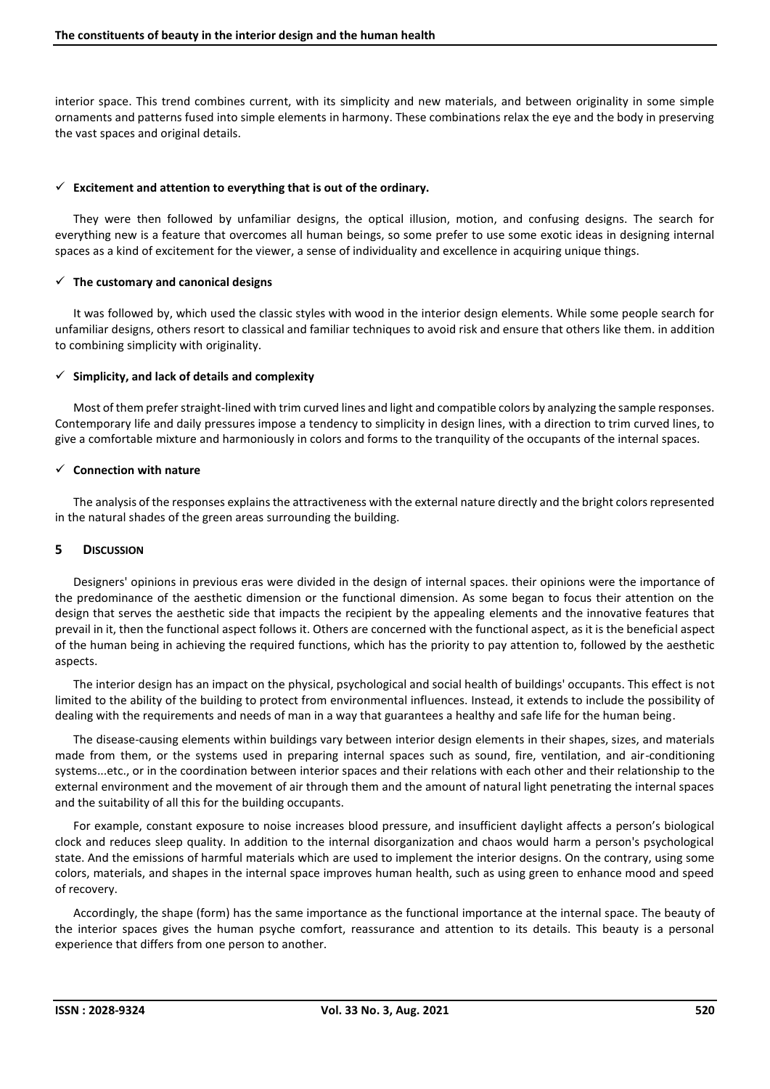interior space. This trend combines current, with its simplicity and new materials, and between originality in some simple ornaments and patterns fused into simple elements in harmony. These combinations relax the eye and the body in preserving the vast spaces and original details.

#### ✓ **Excitement and attention to everything that is out of the ordinary.**

They were then followed by unfamiliar designs, the optical illusion, motion, and confusing designs. The search for everything new is a feature that overcomes all human beings, so some prefer to use some exotic ideas in designing internal spaces as a kind of excitement for the viewer, a sense of individuality and excellence in acquiring unique things.

#### ✓ **The customary and canonical designs**

It was followed by, which used the classic styles with wood in the interior design elements. While some people search for unfamiliar designs, others resort to classical and familiar techniques to avoid risk and ensure that others like them. in addition to combining simplicity with originality.

#### ✓ **Simplicity, and lack of details and complexity**

Most of them prefer straight-lined with trim curved lines and light and compatible colors by analyzing the sample responses. Contemporary life and daily pressures impose a tendency to simplicity in design lines, with a direction to trim curved lines, to give a comfortable mixture and harmoniously in colors and forms to the tranquility of the occupants of the internal spaces.

#### ✓ **Connection with nature**

The analysis of the responses explains the attractiveness with the external nature directly and the bright colors represented in the natural shades of the green areas surrounding the building.

#### **5 DISCUSSION**

Designers' opinions in previous eras were divided in the design of internal spaces. their opinions were the importance of the predominance of the aesthetic dimension or the functional dimension. As some began to focus their attention on the design that serves the aesthetic side that impacts the recipient by the appealing elements and the innovative features that prevail in it, then the functional aspect follows it. Others are concerned with the functional aspect, as it is the beneficial aspect of the human being in achieving the required functions, which has the priority to pay attention to, followed by the aesthetic aspects.

The interior design has an impact on the physical, psychological and social health of buildings' occupants. This effect is not limited to the ability of the building to protect from environmental influences. Instead, it extends to include the possibility of dealing with the requirements and needs of man in a way that guarantees a healthy and safe life for the human being.

The disease-causing elements within buildings vary between interior design elements in their shapes, sizes, and materials made from them, or the systems used in preparing internal spaces such as sound, fire, ventilation, and air-conditioning systems...etc., or in the coordination between interior spaces and their relations with each other and their relationship to the external environment and the movement of air through them and the amount of natural light penetrating the internal spaces and the suitability of all this for the building occupants.

For example, constant exposure to noise increases blood pressure, and insufficient daylight affects a person's biological clock and reduces sleep quality. In addition to the internal disorganization and chaos would harm a person's psychological state. And the emissions of harmful materials which are used to implement the interior designs. On the contrary, using some colors, materials, and shapes in the internal space improves human health, such as using green to enhance mood and speed of recovery.

Accordingly, the shape (form) has the same importance as the functional importance at the internal space. The beauty of the interior spaces gives the human psyche comfort, reassurance and attention to its details. This beauty is a personal experience that differs from one person to another.